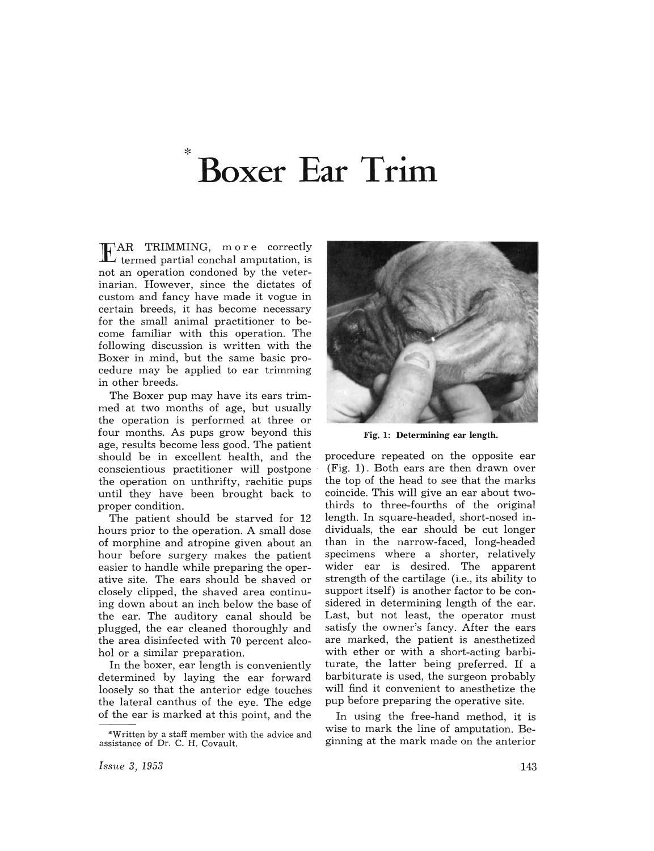## **Boxer Ear Trim**

EAR TRIMMING, more correctly  $\overline{I}$  termed partial conchal amputation, is not an operation condoned by the veterinarian. However, since the dictates of custom and fancy have made it vogue in certain breeds, it has become necessary for the small animal practitioner to become familiar with this operation. The following discussion is written with the Boxer in mind, but the same basic procedure may be applied to ear trimming in other breeds.

The Boxer pup may have its ears trimmed at two months of age, but usually the operation is performed at three or four months. As pups grow beyond this age, results become less good. The patient should be in excellent health, and the conscientious practitioner will postpone the operation on unthrifty, rachitic pups until they have been brought back to proper condition.

The patient should be starved for 12 hours prior to the operation. A small dose of morphine and atropine given about an hour before surgery makes the patient easier to handle while preparing the operative site. The ears should be shaved or closely clipped, the shaved area continuing down about an inch below the base of the ear. The auditory canal should be plugged, the ear cleaned thoroughly and the area disinfected with 70 percent alcohol or a similar preparation.

In the boxer, ear length is conveniently determined by laying the ear forward loosely so that the anterior edge touches the lateral canthus of the eye. The edge of the ear is marked at this point, and the



Fig. 1: Determining ear length.

procedure repeated on the opposite ear (Fig. 1) . Both ears are then drawn over the top of the head to see that the marks coincide. This will give an ear about twothirds to three-fourths of the original length. In square-headed, short-nosed individuals, the ear should be cut longer than in the narrow-faced, long-headed specimens where a shorter, relatively wider ear is desired. The apparent strength of the cartilage (i.e., its ability to support itself) is another factor to be considered in determining length of the ear. Last, but not least, the operator must satisfy the owner's fancy. After the ears are marked, the patient is anesthetized with ether or with a short-acting barbiturate, the latter being preferred. If a barbiturate is used, the surgeon probably will find it convenient to anesthetize the pup before preparing the operative site.

In using the free-hand method, it is wise to mark the line of amputation. Beginning at the mark made on the anterior

<sup>\*</sup>Written by a staff member with the advice and assistance of Dr. C. H. Covault.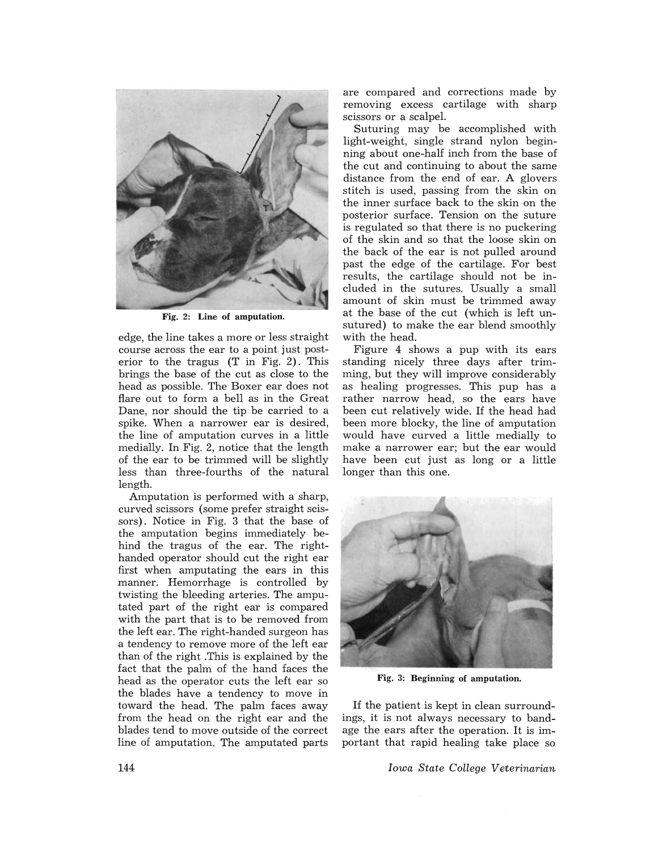

Fig. 2: Line of amputation.

edge, the line takes a more or less straight course across the ear to a point just posterior to the tragus (T in Fig. 2). This brings the base of the cut as close to the head as possible. The Boxer ear does not flare out to form a bell as in the Great Dane, nor should the tip be carried to a spike. When a narrower ear is desired, the line of amputation curves in a little medially. In Fig. 2, notice that the length of the ear to be trimmed will be slightly less than three-fourths of the natural length.

Amputation is performed with a sharp, curved scissors (some prefer straight scissors). Notice in Fig. 3 that the base of the amputation begins immediately behind the tragus of the ear. The righthanded operator should cut the right ear first when amputating the ears in this manner. Hemorrhage is controlled by twisting the bleeding arteries. The amputated part of the right ear is compared with the part that is to be removed from the left ear. The right-handed surgeon has a tendency to remove more of the left ear than of the right .This is explained by the fact that the palm of the hand faces the head as the operator cuts the left ear so the blades have a tendency to move in toward the head. The palm faces away from the head on the right ear and the blades tend to move outside of the correct line of amputation. The amputated parts

are compared and corrections made by removing excess cartilage with sharp scissors or a scalpel.

Suturing may be accomplished with light-weight, single strand nylon beginning about one-half inch from the base of the cut and continuing to about the same distance from the end of ear. A glovers stitch is used, passing from the skin on the inner surface back to the skin on the posterior surface. Tension on the suture is regulated so that there is no puckering of the skin and so that the loose skin on the back of the ear is not pulled around past the edge of the cartilage. For best results, the cartilage should not be included in the sutures. Usually a small amount of skin must be trimmed away at the base of the cut (which is left unsutured) to make the ear blend smoothly with the head.

Figure 4 shows a pup with its ears standing nicely three days after trimming, but they will improve considerably as healing progresses. This pup has a rather narrow head, so the ears have been cut relatively wide. If the head had been more blocky, the line of amputation would have curved a little medially to make a narrower ear; but the ear would have been cut just as long or a little longer than this one.



Fig. 3: Beginning of amputation.

If the patient is kept in clean surroundings, it is not always necessary to bandage the ears after the operation. It is important that rapid healing take place so

*Iowa State College Veterinarian*